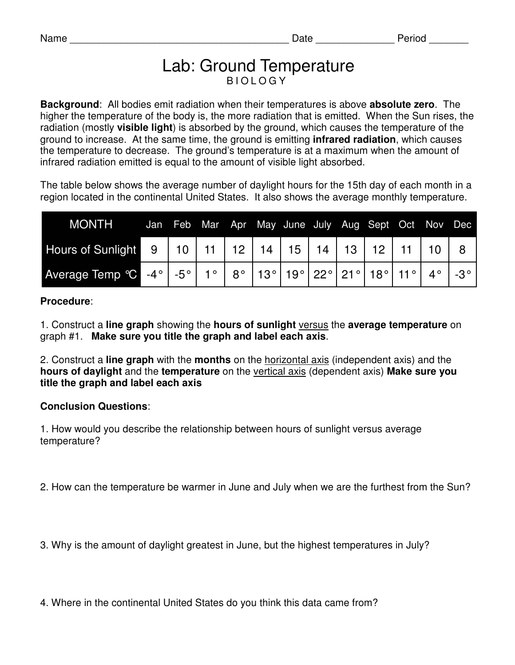## Lab: Ground Temperature B I O L O G Y

**Background**: All bodies emit radiation when their temperatures is above **absolute zero**. The higher the temperature of the body is, the more radiation that is emitted. When the Sun rises, the radiation (mostly **visible light**) is absorbed by the ground, which causes the temperature of the ground to increase. At the same time, the ground is emitting **infrared radiation**, which causes the temperature to decrease. The ground's temperature is at a maximum when the amount of infrared radiation emitted is equal to the amount of visible light absorbed.

The table below shows the average number of daylight hours for the 15th day of each month in a region located in the continental United States. It also shows the average monthly temperature.

| <b>MONTH</b>                                                                       | Jan |  |  | Feb Mar Apr May June July Aug Sept Oct Nov Dec |  |  |  |
|------------------------------------------------------------------------------------|-----|--|--|------------------------------------------------|--|--|--|
|                                                                                    |     |  |  |                                                |  |  |  |
| Average Temp °C -4°   -5°   1°   8°   13°   19°   22°   21°   18°   11°   4°   -3° |     |  |  |                                                |  |  |  |

## **Procedure**:

1. Construct a **line graph** showing the **hours of sunlight** versus the **average temperature** on graph #1. **Make sure you title the graph and label each axis**.

2. Construct a **line graph** with the **months** on the horizontal axis (independent axis) and the **hours of daylight** and the **temperature** on the vertical axis (dependent axis) **Make sure you title the graph and label each axis**

## **Conclusion Questions**:

1. How would you describe the relationship between hours of sunlight versus average temperature?

2. How can the temperature be warmer in June and July when we are the furthest from the Sun?

3. Why is the amount of daylight greatest in June, but the highest temperatures in July?

4. Where in the continental United States do you think this data came from?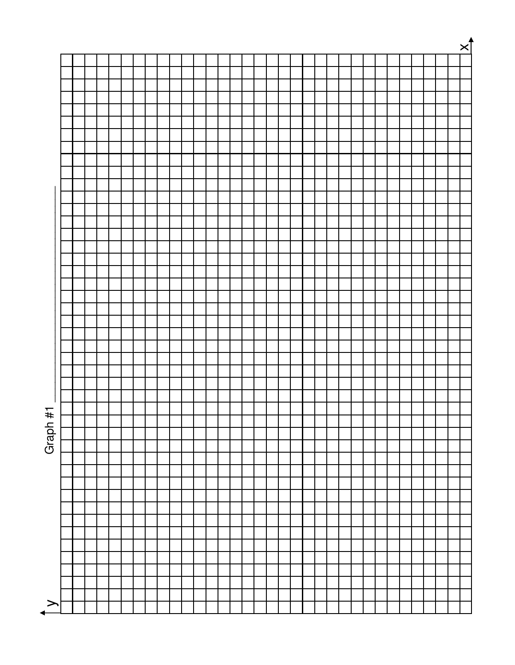